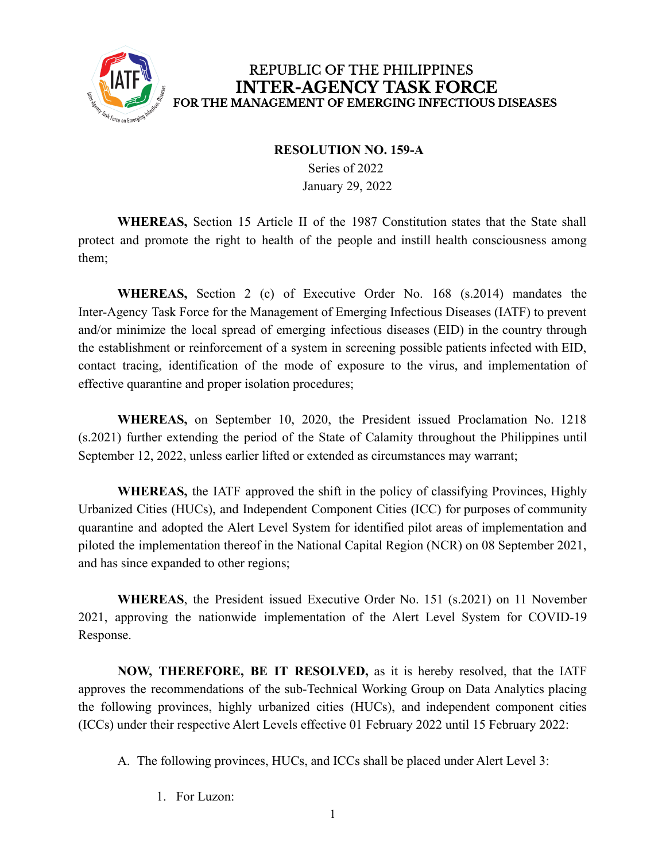

## REPUBLIC OF THE PHILIPPINES **INTER-AGENCY TASK FORCE** FOR THE MANAGEMENT OF EMERGING INFECTIOUS DISEASES

#### **RESOLUTION NO. 159-A**

Series of 2022 January 29, 2022

**WHEREAS,** Section 15 Article II of the 1987 Constitution states that the State shall protect and promote the right to health of the people and instill health consciousness among them;

**WHEREAS,** Section 2 (c) of Executive Order No. 168 (s.2014) mandates the Inter-Agency Task Force for the Management of Emerging Infectious Diseases (IATF) to prevent and/or minimize the local spread of emerging infectious diseases (EID) in the country through the establishment or reinforcement of a system in screening possible patients infected with EID, contact tracing, identification of the mode of exposure to the virus, and implementation of effective quarantine and proper isolation procedures;

**WHEREAS,** on September 10, 2020, the President issued Proclamation No. 1218 (s.2021) further extending the period of the State of Calamity throughout the Philippines until September 12, 2022, unless earlier lifted or extended as circumstances may warrant;

**WHEREAS,** the IATF approved the shift in the policy of classifying Provinces, Highly Urbanized Cities (HUCs), and Independent Component Cities (ICC) for purposes of community quarantine and adopted the Alert Level System for identified pilot areas of implementation and piloted the implementation thereof in the National Capital Region (NCR) on 08 September 2021, and has since expanded to other regions;

**WHEREAS**, the President issued Executive Order No. 151 (s.2021) on 11 November 2021, approving the nationwide implementation of the Alert Level System for COVID-19 Response.

**NOW, THEREFORE, BE IT RESOLVED,** as it is hereby resolved, that the IATF approves the recommendations of the sub-Technical Working Group on Data Analytics placing the following provinces, highly urbanized cities (HUCs), and independent component cities (ICCs) under their respective Alert Levels effective 01 February 2022 until 15 February 2022:

A. The following provinces, HUCs, and ICCs shall be placed under Alert Level 3:

1. For Luzon: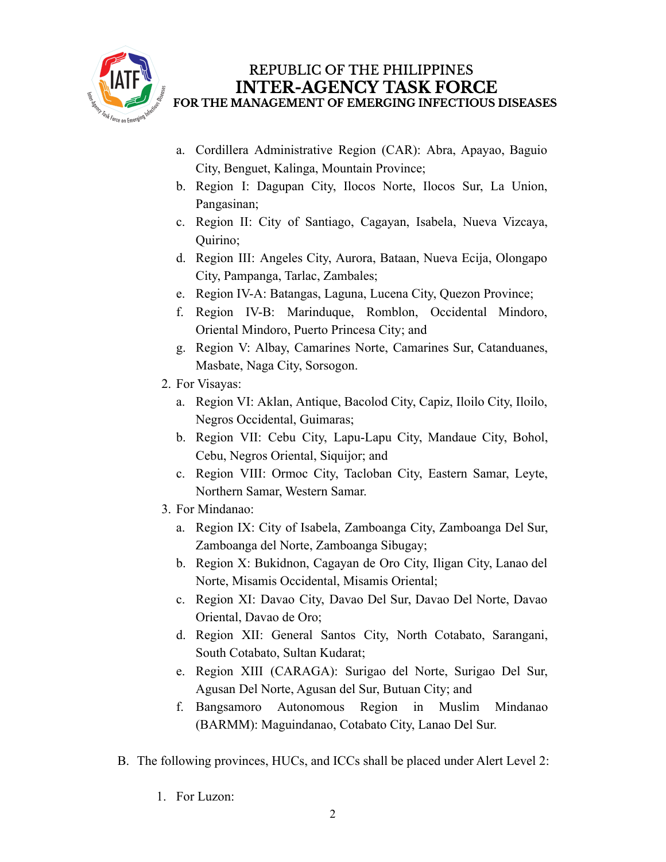

# REPUBLIC OF THE PHILIPPINES **INTER-AGENCY TASK FORCE** FOR THE MANAGEMENT OF EMERGING INFECTIOUS DISEASES

- a. Cordillera Administrative Region (CAR): Abra, Apayao, Baguio City, Benguet, Kalinga, Mountain Province;
- b. Region I: Dagupan City, Ilocos Norte, Ilocos Sur, La Union, Pangasinan;
- c. Region II: City of Santiago, Cagayan, Isabela, Nueva Vizcaya, Quirino;
- d. Region III: Angeles City, Aurora, Bataan, Nueva Ecija, Olongapo City, Pampanga, Tarlac, Zambales;
- e. Region IV-A: Batangas, Laguna, Lucena City, Quezon Province;
- f. Region IV-B: Marinduque, Romblon, Occidental Mindoro, Oriental Mindoro, Puerto Princesa City; and
- g. Region V: Albay, Camarines Norte, Camarines Sur, Catanduanes, Masbate, Naga City, Sorsogon.
- 2. For Visayas:
	- a. Region VI: Aklan, Antique, Bacolod City, Capiz, Iloilo City, Iloilo, Negros Occidental, Guimaras;
	- b. Region VII: Cebu City, Lapu-Lapu City, Mandaue City, Bohol, Cebu, Negros Oriental, Siquijor; and
	- c. Region VIII: Ormoc City, Tacloban City, Eastern Samar, Leyte, Northern Samar, Western Samar.
- 3. For Mindanao:
	- a. Region IX: City of Isabela, Zamboanga City, Zamboanga Del Sur, Zamboanga del Norte, Zamboanga Sibugay;
	- b. Region X: Bukidnon, Cagayan de Oro City, Iligan City, Lanao del Norte, Misamis Occidental, Misamis Oriental;
	- c. Region XI: Davao City, Davao Del Sur, Davao Del Norte, Davao Oriental, Davao de Oro;
	- d. Region XII: General Santos City, North Cotabato, Sarangani, South Cotabato, Sultan Kudarat;
	- e. Region XIII (CARAGA): Surigao del Norte, Surigao Del Sur, Agusan Del Norte, Agusan del Sur, Butuan City; and
	- f. Bangsamoro Autonomous Region in Muslim Mindanao (BARMM): Maguindanao, Cotabato City, Lanao Del Sur.
- B. The following provinces, HUCs, and ICCs shall be placed under Alert Level 2:
	- 1. For Luzon: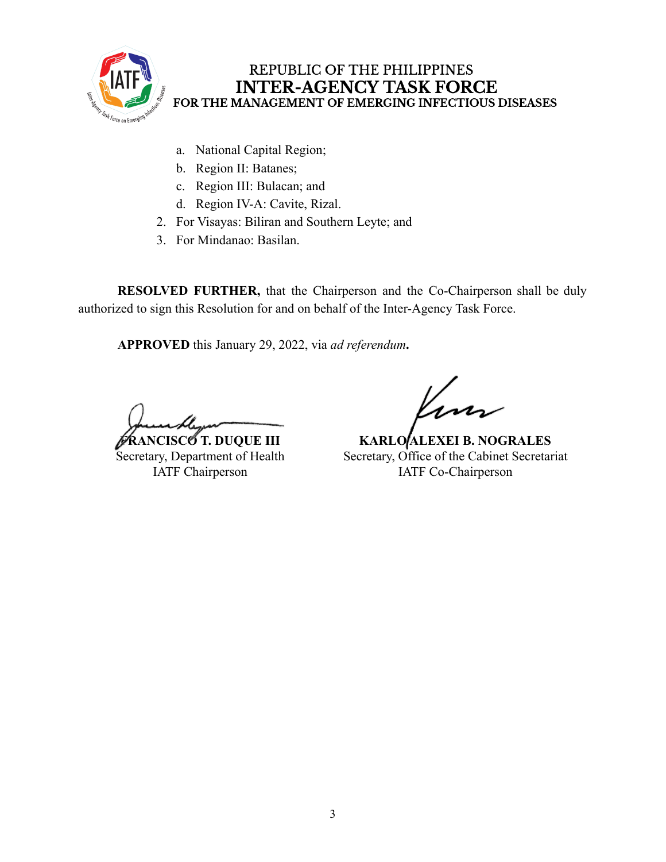

## REPUBLIC OF THE PHILIPPINES **INTER-AGENCY TASK FORCE** FOR THE MANAGEMENT OF EMERGING INFECTIOUS DISEASES

- a. National Capital Region;
- b. Region II: Batanes;
- c. Region III: Bulacan; and
- d. Region IV-A: Cavite, Rizal.
- 2. For Visayas: Biliran and Southern Leyte; and
- 3. For Mindanao: Basilan.

**RESOLVED FURTHER,** that the Chairperson and the Co-Chairperson shall be duly authorized to sign this Resolution for and on behalf of the Inter-Agency Task Force.

**APPROVED** this January 29, 2022, via *ad referendum***.**

**ANCISCO T. DUQUE III** Secretary, Department of Health IATF Chairperson

**KARLO ALEXEI B. NOGRALES** Secretary, Office of the Cabinet Secretariat IATF Co-Chairperson